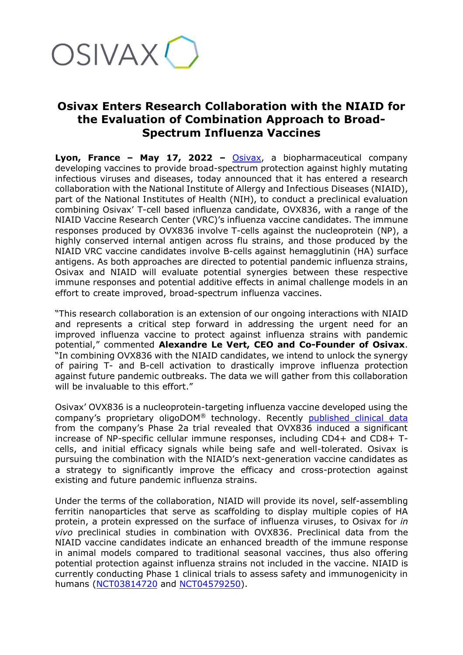

## **Osivax Enters Research Collaboration with the NIAID for the Evaluation of Combination Approach to Broad-Spectrum Influenza Vaccines**

**Lyon, France – May 17, 2022 –** [Osivax,](http://www.osivax.com/) a biopharmaceutical company developing vaccines to provide broad-spectrum protection against highly mutating infectious viruses and diseases, today announced that it has entered a research collaboration with the National Institute of Allergy and Infectious Diseases (NIAID), part of the National Institutes of Health (NIH), to conduct a preclinical evaluation combining Osivax' T-cell based influenza candidate, OVX836, with a range of the NIAID Vaccine Research Center (VRC)'s influenza vaccine candidates. The immune responses produced by OVX836 involve T-cells against the nucleoprotein (NP), a highly conserved internal antigen across flu strains, and those produced by the NIAID VRC vaccine candidates involve B-cells against hemagglutinin (HA) surface antigens. As both approaches are directed to potential pandemic influenza strains, Osivax and NIAID will evaluate potential synergies between these respective immune responses and potential additive effects in animal challenge models in an effort to create improved, broad-spectrum influenza vaccines.

"This research collaboration is an extension of our ongoing interactions with NIAID and represents a critical step forward in addressing the urgent need for an improved influenza vaccine to protect against influenza strains with pandemic potential," commented **Alexandre Le Vert, CEO and Co-Founder of Osivax**. "In combining OVX836 with the NIAID candidates, we intend to unlock the synergy of pairing T- and B-cell activation to drastically improve influenza protection against future pandemic outbreaks. The data we will gather from this collaboration will be invaluable to this effort."

Osivax' OVX836 is a nucleoprotein-targeting influenza vaccine developed using the company's proprietary oligoDOM® technology. Recently [published clinical data](https://www.frontiersin.org/articles/10.3389/fimmu.2022.852904/full) from the company's Phase 2a trial revealed that OVX836 induced a significant increase of NP-specific cellular immune responses, including CD4+ and CD8+ Tcells, and initial efficacy signals while being safe and well-tolerated. Osivax is pursuing the combination with the NIAID's next-generation vaccine candidates as a strategy to significantly improve the efficacy and cross-protection against existing and future pandemic influenza strains.

Under the terms of the collaboration, NIAID will provide its novel, self-assembling ferritin nanoparticles that serve as scaffolding to display multiple copies of HA protein, a protein expressed on the surface of influenza viruses, to Osivax for *in vivo* preclinical studies in combination with OVX836. Preclinical data from the NIAID vaccine candidates indicate an enhanced breadth of the immune response in animal models compared to traditional seasonal vaccines, thus also offering potential protection against influenza strains not included in the vaccine. NIAID is currently conducting Phase 1 clinical trials to assess safety and immunogenicity in humans [\(NCT03814720](https://clinicaltrials.gov/ct2/show/NCT03814720) and [NCT04579250\)](https://clinicaltrials.gov/ct2/show/NCT04579250).